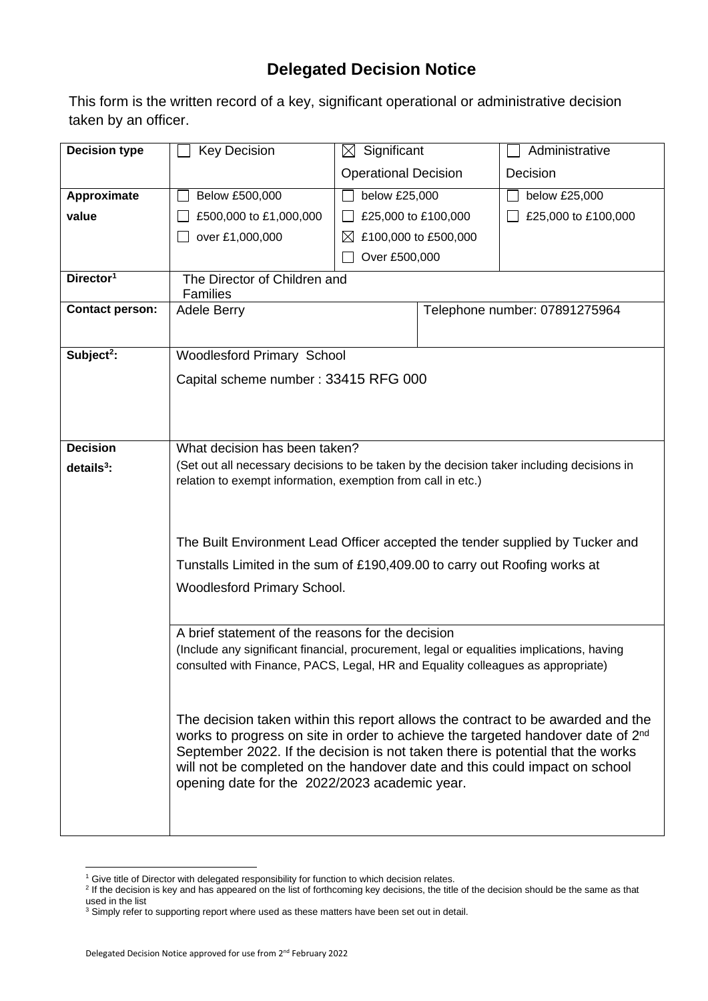## **Delegated Decision Notice**

This form is the written record of a key, significant operational or administrative decision taken by an officer.

| <b>Decision type</b>   | <b>Key Decision</b>                                                                                                                                                           | $\boxtimes$ Significant     |                      | Administrative                |  |  |
|------------------------|-------------------------------------------------------------------------------------------------------------------------------------------------------------------------------|-----------------------------|----------------------|-------------------------------|--|--|
|                        |                                                                                                                                                                               | <b>Operational Decision</b> |                      | Decision                      |  |  |
| Approximate            | Below £500,000                                                                                                                                                                | below £25,000               |                      | below £25,000                 |  |  |
| value                  | £500,000 to £1,000,000                                                                                                                                                        | £25,000 to £100,000         |                      | £25,000 to £100,000           |  |  |
|                        | over £1,000,000                                                                                                                                                               | IХ                          | £100,000 to £500,000 |                               |  |  |
|                        |                                                                                                                                                                               | Over £500,000               |                      |                               |  |  |
| Director <sup>1</sup>  | The Director of Children and<br><b>Families</b>                                                                                                                               |                             |                      |                               |  |  |
| <b>Contact person:</b> | <b>Adele Berry</b>                                                                                                                                                            |                             |                      | Telephone number: 07891275964 |  |  |
|                        |                                                                                                                                                                               |                             |                      |                               |  |  |
| Subject <sup>2</sup> : | <b>Woodlesford Primary School</b>                                                                                                                                             |                             |                      |                               |  |  |
|                        | Capital scheme number: 33415 RFG 000                                                                                                                                          |                             |                      |                               |  |  |
|                        |                                                                                                                                                                               |                             |                      |                               |  |  |
|                        |                                                                                                                                                                               |                             |                      |                               |  |  |
| <b>Decision</b>        | What decision has been taken?                                                                                                                                                 |                             |                      |                               |  |  |
| $details3$ :           | (Set out all necessary decisions to be taken by the decision taker including decisions in                                                                                     |                             |                      |                               |  |  |
|                        | relation to exempt information, exemption from call in etc.)                                                                                                                  |                             |                      |                               |  |  |
|                        |                                                                                                                                                                               |                             |                      |                               |  |  |
|                        |                                                                                                                                                                               |                             |                      |                               |  |  |
|                        | The Built Environment Lead Officer accepted the tender supplied by Tucker and                                                                                                 |                             |                      |                               |  |  |
|                        | Tunstalls Limited in the sum of £190,409.00 to carry out Roofing works at                                                                                                     |                             |                      |                               |  |  |
|                        | <b>Woodlesford Primary School.</b>                                                                                                                                            |                             |                      |                               |  |  |
|                        |                                                                                                                                                                               |                             |                      |                               |  |  |
|                        | A brief statement of the reasons for the decision                                                                                                                             |                             |                      |                               |  |  |
|                        | (Include any significant financial, procurement, legal or equalities implications, having<br>consulted with Finance, PACS, Legal, HR and Equality colleagues as appropriate)  |                             |                      |                               |  |  |
|                        |                                                                                                                                                                               |                             |                      |                               |  |  |
|                        |                                                                                                                                                                               |                             |                      |                               |  |  |
|                        | The decision taken within this report allows the contract to be awarded and the                                                                                               |                             |                      |                               |  |  |
|                        | works to progress on site in order to achieve the targeted handover date of 2 <sup>nd</sup><br>September 2022. If the decision is not taken there is potential that the works |                             |                      |                               |  |  |
|                        | will not be completed on the handover date and this could impact on school                                                                                                    |                             |                      |                               |  |  |
|                        | opening date for the 2022/2023 academic year.                                                                                                                                 |                             |                      |                               |  |  |
|                        |                                                                                                                                                                               |                             |                      |                               |  |  |
|                        |                                                                                                                                                                               |                             |                      |                               |  |  |

<sup>&</sup>lt;sup>1</sup> Give title of Director with delegated responsibility for function to which decision relates.

<sup>&</sup>lt;sup>2</sup> If the decision is key and has appeared on the list of forthcoming key decisions, the title of the decision should be the same as that used in the list

 $3$  Simply refer to supporting report where used as these matters have been set out in detail.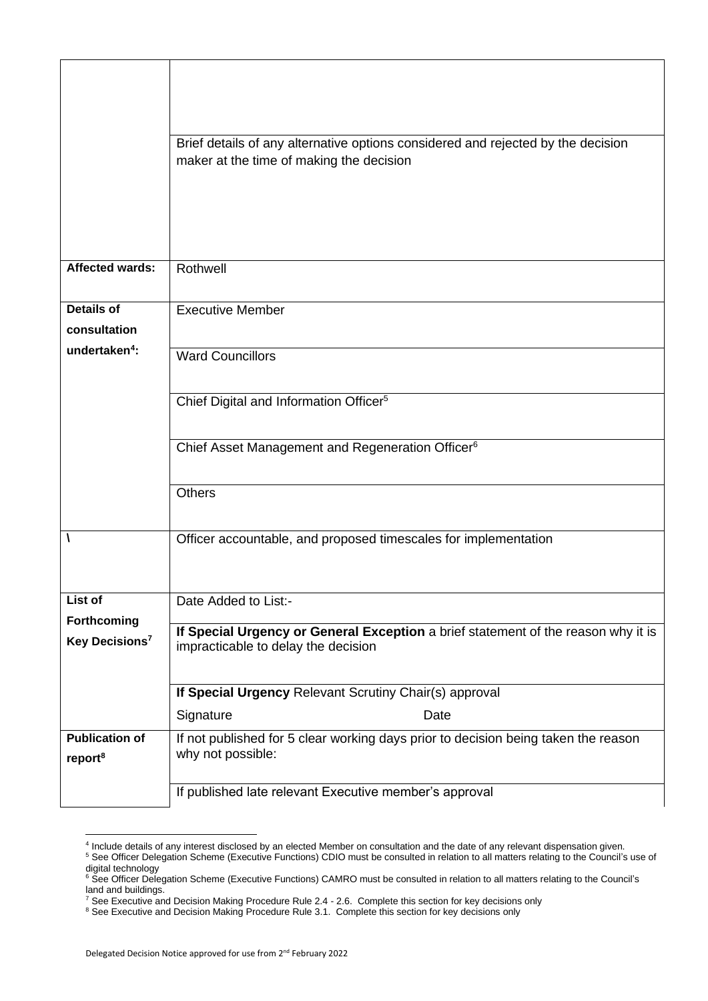|                                              | Brief details of any alternative options considered and rejected by the decision<br>maker at the time of making the decision |  |  |  |  |  |
|----------------------------------------------|------------------------------------------------------------------------------------------------------------------------------|--|--|--|--|--|
|                                              |                                                                                                                              |  |  |  |  |  |
| Affected wards:                              | Rothwell                                                                                                                     |  |  |  |  |  |
| <b>Details of</b>                            | <b>Executive Member</b>                                                                                                      |  |  |  |  |  |
| consultation                                 |                                                                                                                              |  |  |  |  |  |
| undertaken <sup>4</sup> :                    | <b>Ward Councillors</b>                                                                                                      |  |  |  |  |  |
|                                              | Chief Digital and Information Officer <sup>5</sup>                                                                           |  |  |  |  |  |
|                                              | Chief Asset Management and Regeneration Officer <sup>6</sup>                                                                 |  |  |  |  |  |
|                                              | <b>Others</b>                                                                                                                |  |  |  |  |  |
|                                              | Officer accountable, and proposed timescales for implementation                                                              |  |  |  |  |  |
| List of                                      | Date Added to List:-                                                                                                         |  |  |  |  |  |
| Forthcoming<br>Key Decisions <sup>7</sup>    | If Special Urgency or General Exception a brief statement of the reason why it is                                            |  |  |  |  |  |
|                                              | impracticable to delay the decision                                                                                          |  |  |  |  |  |
|                                              | If Special Urgency Relevant Scrutiny Chair(s) approval                                                                       |  |  |  |  |  |
|                                              | Signature<br>Date                                                                                                            |  |  |  |  |  |
| <b>Publication of</b><br>report <sup>8</sup> | If not published for 5 clear working days prior to decision being taken the reason<br>why not possible:                      |  |  |  |  |  |
|                                              | If published late relevant Executive member's approval                                                                       |  |  |  |  |  |

<sup>4</sup> Include details of any interest disclosed by an elected Member on consultation and the date of any relevant dispensation given.

<sup>&</sup>lt;sup>5</sup> See Officer Delegation Scheme (Executive Functions) CDIO must be consulted in relation to all matters relating to the Council's use of digital technology

<sup>&</sup>lt;sup>6</sup> See Officer Delegation Scheme (Executive Functions) CAMRO must be consulted in relation to all matters relating to the Council's land and buildings.

 $^7$  See Executive and Decision Making Procedure Rule 2.4 - 2.6. Complete this section for key decisions only

<sup>&</sup>lt;sup>8</sup> See Executive and Decision Making Procedure Rule 3.1. Complete this section for key decisions only